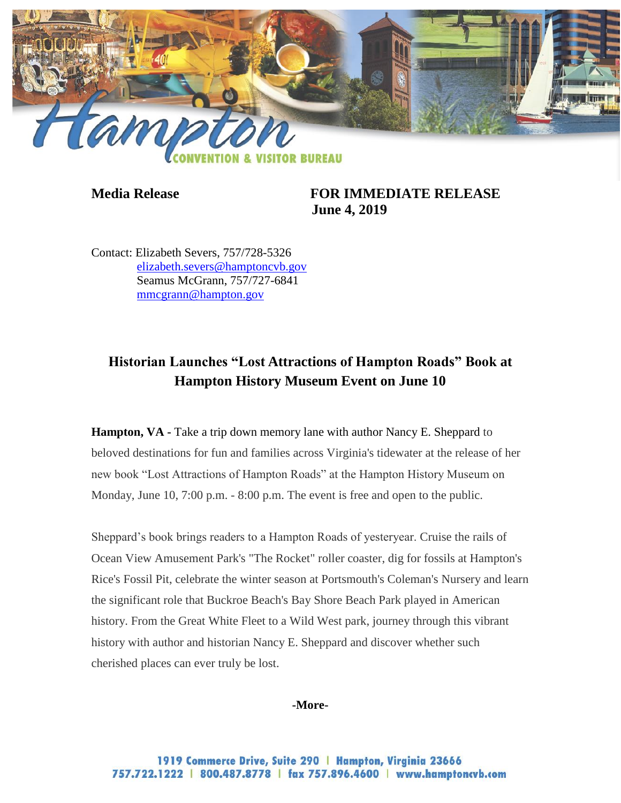

**Media Release FOR IMMEDIATE RELEASE June 4, 2019**

Contact: Elizabeth Severs, 757/728-5326 [elizabeth.severs@hamptoncvb.gov](mailto:elizabeth.severs@hamptoncvb.gov) Seamus McGrann, 757/727-6841 [mmcgrann@hampton.gov](mailto:mmcgrann@hampton.gov)

# **Historian Launches "Lost Attractions of Hampton Roads" Book at Hampton History Museum Event on June 10**

**Hampton, VA** - Take a trip down memory lane with author Nancy E. Sheppard to beloved destinations for fun and families across Virginia's tidewater at the release of her new book "Lost Attractions of Hampton Roads" at the Hampton History Museum on Monday, June 10, 7:00 p.m. - 8:00 p.m. The event is free and open to the public.

Sheppard's book brings readers to a Hampton Roads of yesteryear. Cruise the rails of Ocean View Amusement Park's "The Rocket" roller coaster, dig for fossils at Hampton's Rice's Fossil Pit, celebrate the winter season at Portsmouth's Coleman's Nursery and learn the significant role that Buckroe Beach's Bay Shore Beach Park played in American history. From the Great White Fleet to a Wild West park, journey through this vibrant history with author and historian Nancy E. Sheppard and discover whether such cherished places can ever truly be lost.

#### **-More-**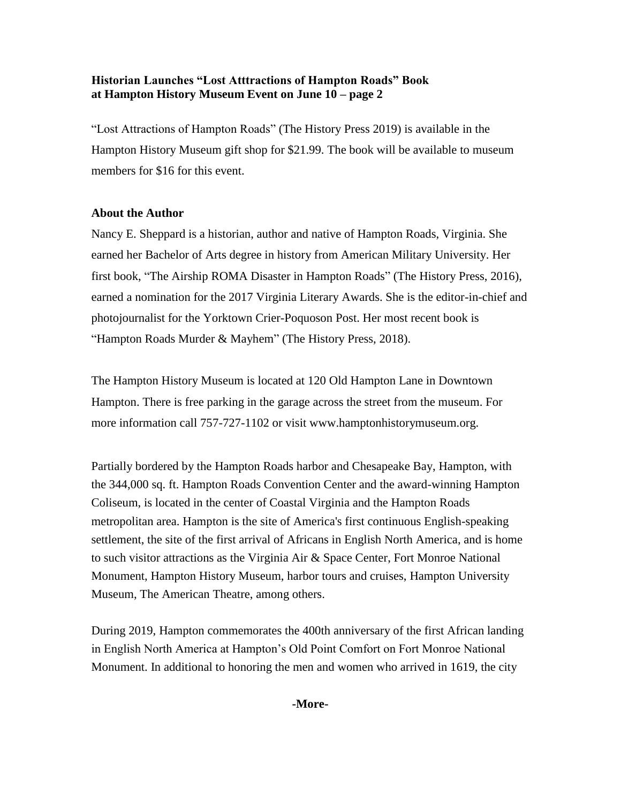### **Historian Launches "Lost Atttractions of Hampton Roads" Book at Hampton History Museum Event on June 10 – page 2**

"Lost Attractions of Hampton Roads" (The History Press 2019) is available in the Hampton History Museum gift shop for \$21.99. The book will be available to museum members for \$16 for this event.

# **About the Author**

Nancy E. Sheppard is a historian, author and native of Hampton Roads, Virginia. She earned her Bachelor of Arts degree in history from American Military University. Her first book, "The Airship ROMA Disaster in Hampton Roads" (The History Press, 2016), earned a nomination for the 2017 Virginia Literary Awards. She is the editor-in-chief and photojournalist for the Yorktown Crier-Poquoson Post. Her most recent book is "Hampton Roads Murder & Mayhem" (The History Press, 2018).

The Hampton History Museum is located at 120 Old Hampton Lane in Downtown Hampton. There is free parking in the garage across the street from the museum. For more information call 757-727-1102 or visit www.hamptonhistorymuseum.org.

Partially bordered by the Hampton Roads harbor and Chesapeake Bay, Hampton, with the 344,000 sq. ft. Hampton Roads Convention Center and the award-winning Hampton Coliseum, is located in the center of Coastal Virginia and the Hampton Roads metropolitan area. Hampton is the site of America's first continuous English-speaking settlement, the site of the first arrival of Africans in English North America, and is home to such visitor attractions as the Virginia Air & Space Center, Fort Monroe National Monument, Hampton History Museum, harbor tours and cruises, Hampton University Museum, The American Theatre, among others.

During 2019, Hampton commemorates the 400th anniversary of the first African landing in English North America at Hampton's Old Point Comfort on Fort Monroe National Monument. In additional to honoring the men and women who arrived in 1619, the city

**-More-**